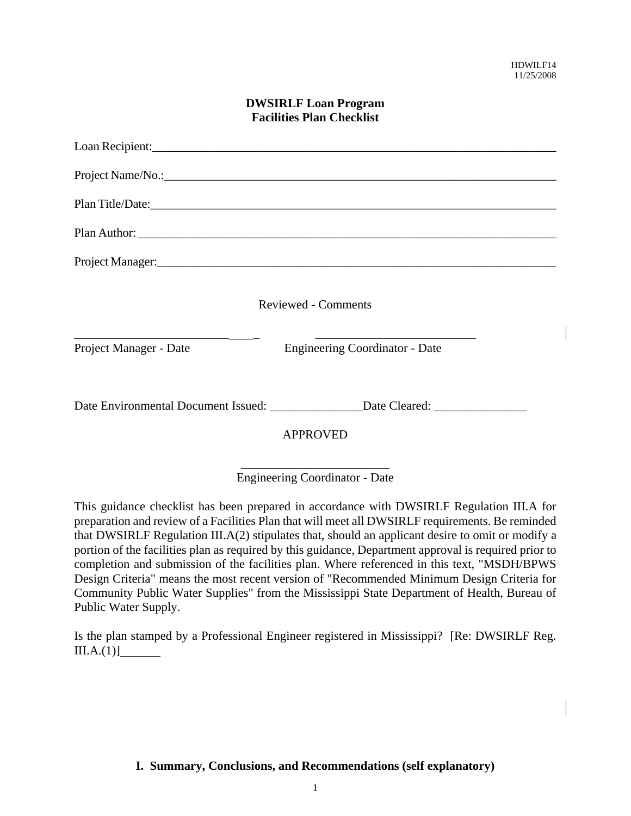| <b>DWSIRLF Loan Program</b><br><b>Facilities Plan Checklist</b> |                                                                                  |  |
|-----------------------------------------------------------------|----------------------------------------------------------------------------------|--|
|                                                                 | Loan Recipient:                                                                  |  |
|                                                                 |                                                                                  |  |
|                                                                 |                                                                                  |  |
|                                                                 |                                                                                  |  |
|                                                                 | Project Manager:<br><u>Project Manager:</u>                                      |  |
|                                                                 | <b>Reviewed - Comments</b>                                                       |  |
| Project Manager - Date                                          | <b>Engineering Coordinator - Date</b>                                            |  |
|                                                                 | Date Environmental Document Issued: ________________Date Cleared: ______________ |  |
|                                                                 | <b>APPROVED</b>                                                                  |  |

### \_\_\_\_\_\_\_\_\_\_\_\_\_\_\_\_\_\_\_\_\_\_\_\_ Engineering Coordinator - Date

This guidance checklist has been prepared in accordance with DWSIRLF Regulation III.A for preparation and review of a Facilities Plan that will meet all DWSIRLF requirements. Be reminded that DWSIRLF Regulation III.A(2) stipulates that, should an applicant desire to omit or modify a portion of the facilities plan as required by this guidance, Department approval is required prior to completion and submission of the facilities plan. Where referenced in this text, "MSDH/BPWS Design Criteria" means the most recent version of "Recommended Minimum Design Criteria for Community Public Water Supplies" from the Mississippi State Department of Health, Bureau of Public Water Supply.

Is the plan stamped by a Professional Engineer registered in Mississippi? [Re: DWSIRLF Reg.  $III.A.(1)]$ 

### **I. Summary, Conclusions, and Recommendations (self explanatory)**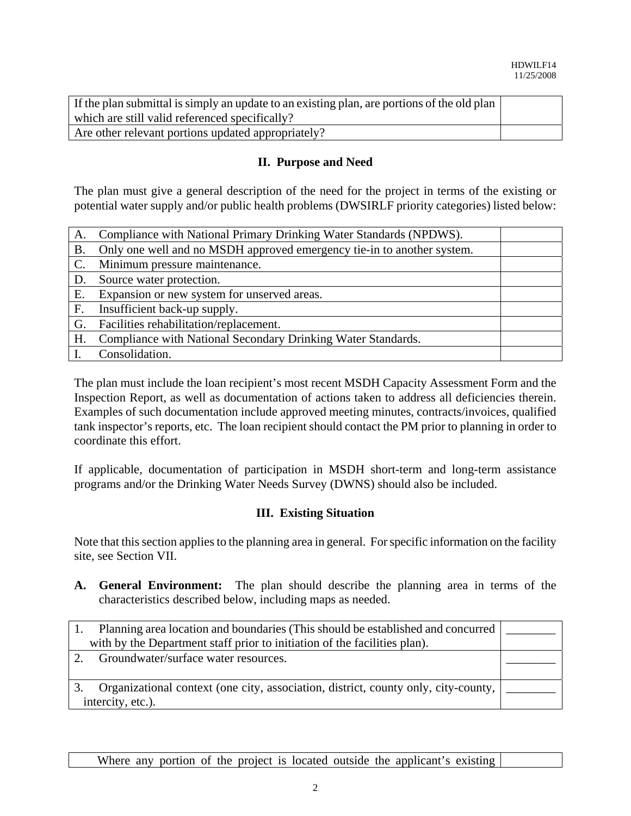| If the plan submittal is simply an update to an existing plan, are portions of the old plan |  |
|---------------------------------------------------------------------------------------------|--|
| which are still valid referenced specifically?                                              |  |
| Are other relevant portions updated appropriately?                                          |  |

## **II. Purpose and Need**

The plan must give a general description of the need for the project in terms of the existing or potential water supply and/or public health problems (DWSIRLF priority categories) listed below:

| A.             | Compliance with National Primary Drinking Water Standards (NPDWS).     |  |
|----------------|------------------------------------------------------------------------|--|
| <b>B.</b>      | Only one well and no MSDH approved emergency tie-in to another system. |  |
| $\mathbf{C}$ . | Minimum pressure maintenance.                                          |  |
| D.             | Source water protection.                                               |  |
| Е.             | Expansion or new system for unserved areas.                            |  |
| F <sub>r</sub> | Insufficient back-up supply.                                           |  |
| G.             | Facilities rehabilitation/replacement.                                 |  |
| H.             | Compliance with National Secondary Drinking Water Standards.           |  |
|                | Consolidation.                                                         |  |

The plan must include the loan recipient's most recent MSDH Capacity Assessment Form and the Inspection Report, as well as documentation of actions taken to address all deficiencies therein. Examples of such documentation include approved meeting minutes, contracts/invoices, qualified tank inspector's reports, etc. The loan recipient should contact the PM prior to planning in order to coordinate this effort.

If applicable, documentation of participation in MSDH short-term and long-term assistance programs and/or the Drinking Water Needs Survey (DWNS) should also be included.

## **III. Existing Situation**

Note that this section applies to the planning area in general. For specific information on the facility site, see Section VII.

**A. General Environment:** The plan should describe the planning area in terms of the characteristics described below, including maps as needed.

| Planning area location and boundaries (This should be established and concurred    |  |
|------------------------------------------------------------------------------------|--|
| with by the Department staff prior to initiation of the facilities plan).          |  |
| Groundwater/surface water resources.                                               |  |
|                                                                                    |  |
| Organizational context (one city, association, district, county only, city-county, |  |
| intercity, etc.).                                                                  |  |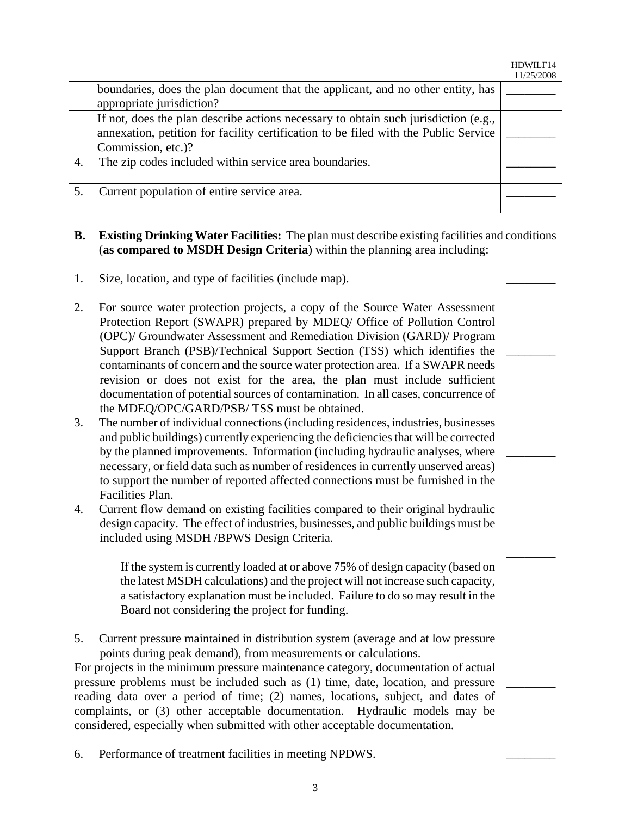HDWILF14 11/25/2008

\_\_\_\_\_\_\_\_

\_\_\_\_\_\_\_\_

\_\_\_\_\_\_\_\_

\_\_\_\_\_\_\_\_

|    |                                                                                                                                                                                                  | 11/27/2000 |
|----|--------------------------------------------------------------------------------------------------------------------------------------------------------------------------------------------------|------------|
|    | boundaries, does the plan document that the applicant, and no other entity, has<br>appropriate jurisdiction?                                                                                     |            |
|    | If not, does the plan describe actions necessary to obtain such jurisdiction (e.g.,<br>annexation, petition for facility certification to be filed with the Public Service<br>Commission, etc.)? |            |
| 4. | The zip codes included within service area boundaries.                                                                                                                                           |            |
|    | Current population of entire service area.                                                                                                                                                       |            |

- **B. Existing Drinking Water Facilities:** The plan must describe existing facilities and conditions (**as compared to MSDH Design Criteria**) within the planning area including:
- 1. Size, location, and type of facilities (include map).
- 2. For source water protection projects, a copy of the Source Water Assessment Protection Report (SWAPR) prepared by MDEQ/ Office of Pollution Control (OPC)/ Groundwater Assessment and Remediation Division (GARD)/ Program Support Branch (PSB)/Technical Support Section (TSS) which identifies the contaminants of concern and the source water protection area. If a SWAPR needs revision or does not exist for the area, the plan must include sufficient documentation of potential sources of contamination. In all cases, concurrence of the MDEQ/OPC/GARD/PSB/ TSS must be obtained.
- 3. The number of individual connections (including residences, industries, businesses and public buildings) currently experiencing the deficiencies that will be corrected by the planned improvements. Information (including hydraulic analyses, where necessary, or field data such as number of residences in currently unserved areas) to support the number of reported affected connections must be furnished in the Facilities Plan.
- 4. Current flow demand on existing facilities compared to their original hydraulic design capacity. The effect of industries, businesses, and public buildings must be included using MSDH /BPWS Design Criteria.

If the system is currently loaded at or above 75% of design capacity (based on the latest MSDH calculations) and the project will not increase such capacity, a satisfactory explanation must be included. Failure to do so may result in the Board not considering the project for funding.

5. Current pressure maintained in distribution system (average and at low pressure points during peak demand), from measurements or calculations.

For projects in the minimum pressure maintenance category, documentation of actual pressure problems must be included such as (1) time, date, location, and pressure reading data over a period of time; (2) names, locations, subject, and dates of complaints, or (3) other acceptable documentation. Hydraulic models may be considered, especially when submitted with other acceptable documentation.

6. Performance of treatment facilities in meeting NPDWS.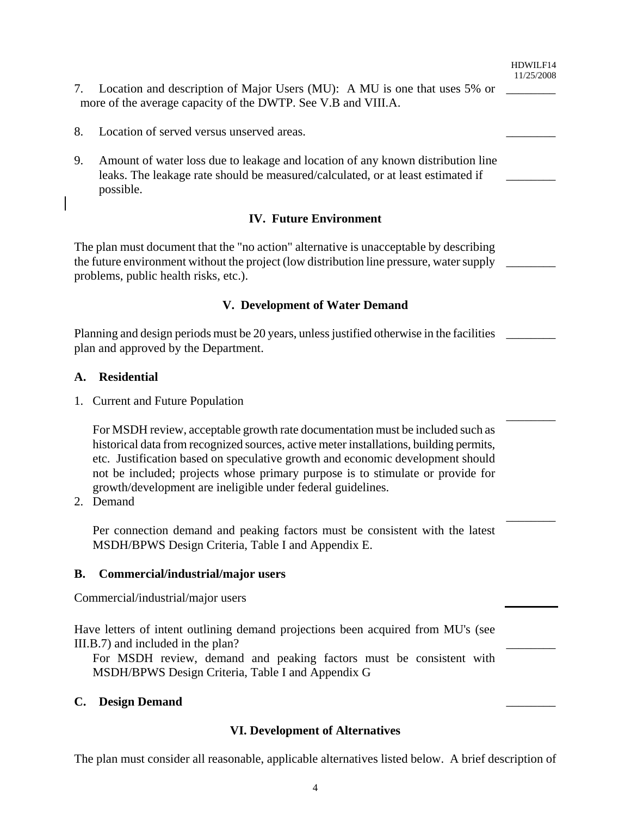HDWILF14 11/25/2008 \_\_\_\_\_\_\_\_

 $\overline{\phantom{a}}$ 

\_\_\_\_\_\_\_\_

 $\overline{\phantom{a}}$   $\overline{\phantom{a}}$ 

\_\_\_\_\_\_\_\_

| Location and description of Major Users (MU): A MU is one that uses 5% or |  |
|---------------------------------------------------------------------------|--|
| more of the average capacity of the DWTP. See V.B and VIII.A.             |  |

- 8. Location of served versus unserved areas.
- 9. Amount of water loss due to leakage and location of any known distribution line leaks. The leakage rate should be measured/calculated, or at least estimated if possible.

### **IV. Future Environment**

The plan must document that the "no action" alternative is unacceptable by describing the future environment without the project (low distribution line pressure, water supply problems, public health risks, etc.).  $\overline{\phantom{a}}$   $\overline{\phantom{a}}$ 

#### **V. Development of Water Demand**

Planning and design periods must be 20 years, unless justified otherwise in the facilities plan and approved by the Department. \_\_\_\_\_\_\_\_

#### **A. Residential**

1. Current and Future Population

For MSDH review, acceptable growth rate documentation must be included such as historical data from recognized sources, active meter installations, building permits, etc. Justification based on speculative growth and economic development should not be included; projects whose primary purpose is to stimulate or provide for growth/development are ineligible under federal guidelines.

2. Demand

Per connection demand and peaking factors must be consistent with the latest MSDH/BPWS Design Criteria, Table I and Appendix E.

#### **B. Commercial/industrial/major users**

Commercial/industrial/major users

Have letters of intent outlining demand projections been acquired from MU's (see III.B.7) and included in the plan?

For MSDH review, demand and peaking factors must be consistent with MSDH/BPWS Design Criteria, Table I and Appendix G

#### **C. Design Demand** \_\_\_\_\_\_\_\_

#### **VI. Development of Alternatives**

The plan must consider all reasonable, applicable alternatives listed below. A brief description of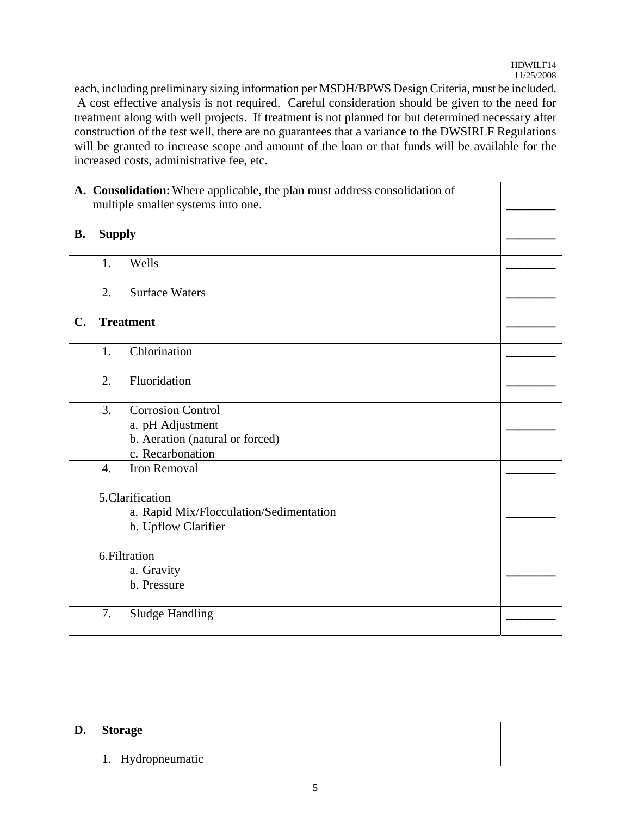each, including preliminary sizing information per MSDH/BPWS Design Criteria, must be included. A cost effective analysis is not required. Careful consideration should be given to the need for treatment along with well projects. If treatment is not planned for but determined necessary after construction of the test well, there are no guarantees that a variance to the DWSIRLF Regulations will be granted to increase scope and amount of the loan or that funds will be available for the increased costs, administrative fee, etc.

|           |                  | A. Consolidation: Where applicable, the plan must address consolidation of<br>multiple smaller systems into one. |  |
|-----------|------------------|------------------------------------------------------------------------------------------------------------------|--|
| <b>B.</b> | <b>Supply</b>    |                                                                                                                  |  |
|           | 1.               | Wells                                                                                                            |  |
|           | 2.               | <b>Surface Waters</b>                                                                                            |  |
| C.        |                  | <b>Treatment</b>                                                                                                 |  |
|           | 1.               | Chlorination                                                                                                     |  |
|           | $\overline{2}$ . | Fluoridation                                                                                                     |  |
|           | 3.               | <b>Corrosion Control</b><br>a. pH Adjustment<br>b. Aeration (natural or forced)<br>c. Recarbonation              |  |
|           | $\overline{4}$ . | <b>Iron Removal</b>                                                                                              |  |
|           |                  | 5.Clarification<br>a. Rapid Mix/Flocculation/Sedimentation<br>b. Upflow Clarifier                                |  |
|           |                  | 6.Filtration<br>a. Gravity<br>b. Pressure                                                                        |  |
|           | 7.               | <b>Sludge Handling</b>                                                                                           |  |

#### **D. Storage**

#### 1. Hydropneumatic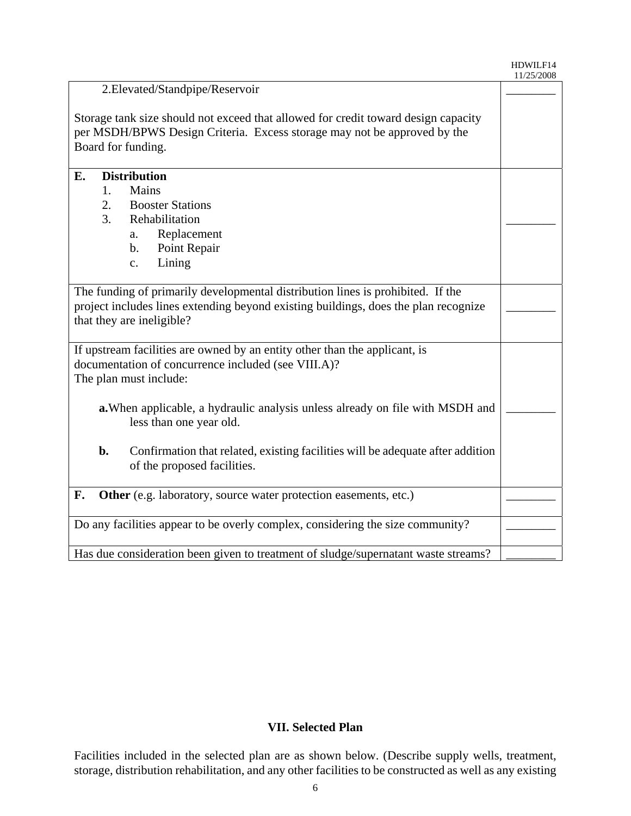#### HDWILF14 11/25/2008

| 2. Elevated/Standpipe/Reservoir                                                                                                                                                      |  |
|--------------------------------------------------------------------------------------------------------------------------------------------------------------------------------------|--|
| Storage tank size should not exceed that allowed for credit toward design capacity<br>per MSDH/BPWS Design Criteria. Excess storage may not be approved by the<br>Board for funding. |  |
| E.<br><b>Distribution</b>                                                                                                                                                            |  |
| Mains<br>1.                                                                                                                                                                          |  |
| 2.<br><b>Booster Stations</b>                                                                                                                                                        |  |
| 3.<br>Rehabilitation                                                                                                                                                                 |  |
| Replacement<br>a.                                                                                                                                                                    |  |
| Point Repair<br>$\mathbf{b}$ .                                                                                                                                                       |  |
| Lining<br>c.                                                                                                                                                                         |  |
|                                                                                                                                                                                      |  |
| The funding of primarily developmental distribution lines is prohibited. If the                                                                                                      |  |
| project includes lines extending beyond existing buildings, does the plan recognize                                                                                                  |  |
| that they are ineligible?                                                                                                                                                            |  |
|                                                                                                                                                                                      |  |
| If upstream facilities are owned by an entity other than the applicant, is                                                                                                           |  |
| documentation of concurrence included (see VIII.A)?                                                                                                                                  |  |
| The plan must include:                                                                                                                                                               |  |
|                                                                                                                                                                                      |  |
| a. When applicable, a hydraulic analysis unless already on file with MSDH and                                                                                                        |  |
| less than one year old.                                                                                                                                                              |  |
| Confirmation that related, existing facilities will be adequate after addition<br>$\mathbf{b}$ .<br>of the proposed facilities.                                                      |  |
| F.<br>Other (e.g. laboratory, source water protection easements, etc.)                                                                                                               |  |
|                                                                                                                                                                                      |  |
| Do any facilities appear to be overly complex, considering the size community?                                                                                                       |  |
|                                                                                                                                                                                      |  |
| Has due consideration been given to treatment of sludge/supernatant waste streams?                                                                                                   |  |

## **VII. Selected Plan**

Facilities included in the selected plan are as shown below. (Describe supply wells, treatment, storage, distribution rehabilitation, and any other facilities to be constructed as well as any existing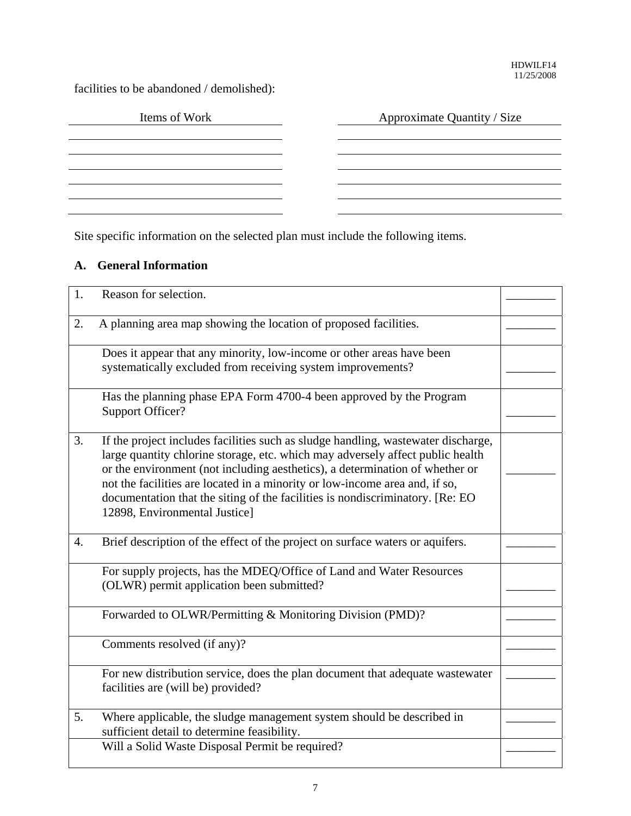facilities to be abandoned / demolished):

| Items of Work | Approximate Quantity / Size |
|---------------|-----------------------------|
|               |                             |
|               |                             |
|               |                             |
|               |                             |
|               |                             |

Site specific information on the selected plan must include the following items.

# **A. General Information**

| 1.               | Reason for selection.                                                                                                                                                                                                                                                                                                                                                                                                                                 |  |
|------------------|-------------------------------------------------------------------------------------------------------------------------------------------------------------------------------------------------------------------------------------------------------------------------------------------------------------------------------------------------------------------------------------------------------------------------------------------------------|--|
| 2.               | A planning area map showing the location of proposed facilities.                                                                                                                                                                                                                                                                                                                                                                                      |  |
|                  | Does it appear that any minority, low-income or other areas have been<br>systematically excluded from receiving system improvements?                                                                                                                                                                                                                                                                                                                  |  |
|                  | Has the planning phase EPA Form 4700-4 been approved by the Program<br><b>Support Officer?</b>                                                                                                                                                                                                                                                                                                                                                        |  |
| $\overline{3}$ . | If the project includes facilities such as sludge handling, was tewater discharge,<br>large quantity chlorine storage, etc. which may adversely affect public health<br>or the environment (not including aesthetics), a determination of whether or<br>not the facilities are located in a minority or low-income area and, if so,<br>documentation that the siting of the facilities is nondiscriminatory. [Re: EO<br>12898, Environmental Justice] |  |
| 4.               | Brief description of the effect of the project on surface waters or aquifers.                                                                                                                                                                                                                                                                                                                                                                         |  |
|                  | For supply projects, has the MDEQ/Office of Land and Water Resources<br>(OLWR) permit application been submitted?                                                                                                                                                                                                                                                                                                                                     |  |
|                  | Forwarded to OLWR/Permitting & Monitoring Division (PMD)?                                                                                                                                                                                                                                                                                                                                                                                             |  |
|                  | Comments resolved (if any)?                                                                                                                                                                                                                                                                                                                                                                                                                           |  |
|                  | For new distribution service, does the plan document that adequate wastewater<br>facilities are (will be) provided?                                                                                                                                                                                                                                                                                                                                   |  |
| 5.               | Where applicable, the sludge management system should be described in<br>sufficient detail to determine feasibility.                                                                                                                                                                                                                                                                                                                                  |  |
|                  | Will a Solid Waste Disposal Permit be required?                                                                                                                                                                                                                                                                                                                                                                                                       |  |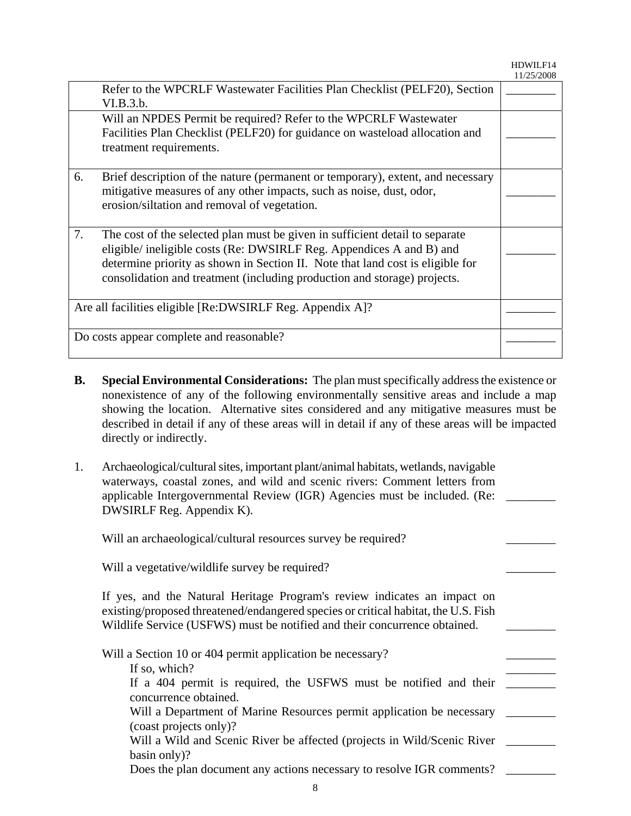HDWILF14 11/25/2008

|                                                           | Refer to the WPCRLF Wastewater Facilities Plan Checklist (PELF20), Section<br>VI.B.3.b.<br>Will an NPDES Permit be required? Refer to the WPCRLF Wastewater<br>Facilities Plan Checklist (PELF20) for guidance on wasteload allocation and<br>treatment requirements.                                              |  |
|-----------------------------------------------------------|--------------------------------------------------------------------------------------------------------------------------------------------------------------------------------------------------------------------------------------------------------------------------------------------------------------------|--|
| 6.                                                        | Brief description of the nature (permanent or temporary), extent, and necessary<br>mitigative measures of any other impacts, such as noise, dust, odor,<br>erosion/siltation and removal of vegetation.                                                                                                            |  |
| 7.                                                        | The cost of the selected plan must be given in sufficient detail to separate<br>eligible/ ineligible costs (Re: DWSIRLF Reg. Appendices A and B) and<br>determine priority as shown in Section II. Note that land cost is eligible for<br>consolidation and treatment (including production and storage) projects. |  |
| Are all facilities eligible [Re:DWSIRLF Reg. Appendix A]? |                                                                                                                                                                                                                                                                                                                    |  |
| Do costs appear complete and reasonable?                  |                                                                                                                                                                                                                                                                                                                    |  |

- **B. Special Environmental Considerations:** The plan must specifically address the existence or nonexistence of any of the following environmentally sensitive areas and include a map showing the location. Alternative sites considered and any mitigative measures must be described in detail if any of these areas will in detail if any of these areas will be impacted directly or indirectly.
- 1. Archaeological/cultural sites, important plant/animal habitats, wetlands, navigable waterways, coastal zones, and wild and scenic rivers: Comment letters from applicable Intergovernmental Review (IGR) Agencies must be included. (Re: \_\_\_\_\_\_\_\_ DWSIRLF Reg. Appendix K).

Will an archaeological/cultural resources survey be required?

Will a vegetative/wildlife survey be required?

If yes, and the Natural Heritage Program's review indicates an impact on existing/proposed threatened/endangered species or critical habitat, the U.S. Fish Wildlife Service (USFWS) must be notified and their concurrence obtained.

Will a Section 10 or 404 permit application be necessary? If so, which? If a 404 permit is required, the USFWS must be notified and their \_\_\_\_\_\_\_ concurrence obtained. Will a Department of Marine Resources permit application be necessary \_\_\_\_\_\_\_\_ (coast projects only)? Will a Wild and Scenic River be affected (projects in Wild/Scenic River \_\_\_\_\_\_\_ basin only)? Does the plan document any actions necessary to resolve IGR comments? \_\_\_\_\_\_\_\_\_\_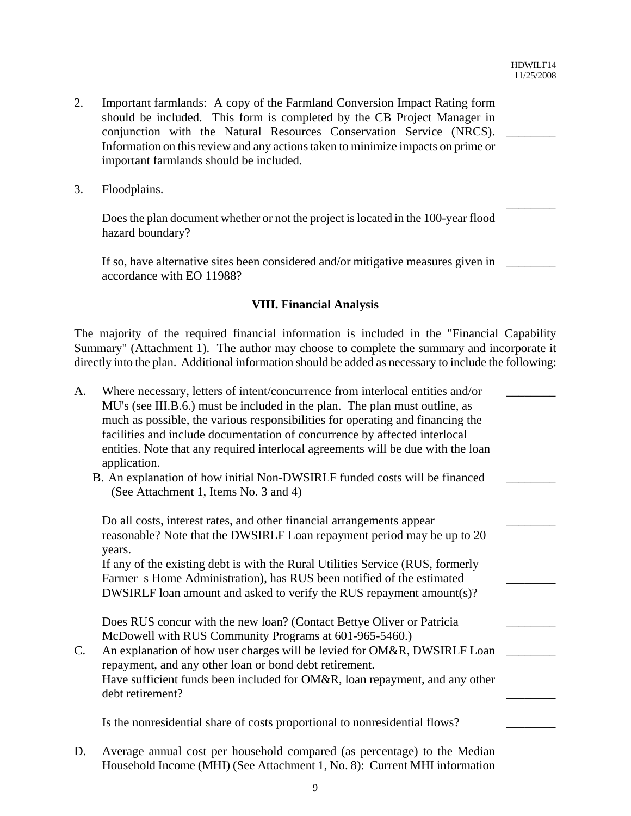\_\_\_\_\_\_\_\_

\_\_\_\_\_\_\_\_

- 2. Important farmlands: A copy of the Farmland Conversion Impact Rating form should be included. This form is completed by the CB Project Manager in conjunction with the Natural Resources Conservation Service (NRCS). Information on this review and any actions taken to minimize impacts on prime or important farmlands should be included.
- 3. Floodplains.

Does the plan document whether or not the project is located in the 100-year flood hazard boundary?

If so, have alternative sites been considered and/or mitigative measures given in \_\_\_\_\_\_\_ accordance with EO 11988?

### **VIII. Financial Analysis**

The majority of the required financial information is included in the "Financial Capability Summary" (Attachment 1). The author may choose to complete the summary and incorporate it directly into the plan. Additional information should be added as necessary to include the following:

| $A_{\cdot}$ | Where necessary, letters of intent/concurrence from interlocal entities and/or<br>MU's (see III.B.6.) must be included in the plan. The plan must outline, as<br>much as possible, the various responsibilities for operating and financing the<br>facilities and include documentation of concurrence by affected interlocal<br>entities. Note that any required interlocal agreements will be due with the loan<br>application. |  |
|-------------|-----------------------------------------------------------------------------------------------------------------------------------------------------------------------------------------------------------------------------------------------------------------------------------------------------------------------------------------------------------------------------------------------------------------------------------|--|
|             | B. An explanation of how initial Non-DWSIRLF funded costs will be financed<br>(See Attachment 1, Items No. 3 and 4)                                                                                                                                                                                                                                                                                                               |  |
|             | Do all costs, interest rates, and other financial arrangements appear                                                                                                                                                                                                                                                                                                                                                             |  |
|             | reasonable? Note that the DWSIRLF Loan repayment period may be up to 20<br>years.                                                                                                                                                                                                                                                                                                                                                 |  |
|             | If any of the existing debt is with the Rural Utilities Service (RUS, formerly                                                                                                                                                                                                                                                                                                                                                    |  |
|             | Farmer s Home Administration), has RUS been notified of the estimated                                                                                                                                                                                                                                                                                                                                                             |  |
|             | DWSIRLF loan amount and asked to verify the RUS repayment amount(s)?                                                                                                                                                                                                                                                                                                                                                              |  |
|             | Does RUS concur with the new loan? (Contact Bettye Oliver or Patricia                                                                                                                                                                                                                                                                                                                                                             |  |
|             | McDowell with RUS Community Programs at 601-965-5460.)                                                                                                                                                                                                                                                                                                                                                                            |  |
| C.          | An explanation of how user charges will be levied for OM&R, DWSIRLF Loan                                                                                                                                                                                                                                                                                                                                                          |  |
|             | repayment, and any other loan or bond debt retirement.                                                                                                                                                                                                                                                                                                                                                                            |  |
|             | Have sufficient funds been included for OM&R, loan repayment, and any other<br>debt retirement?                                                                                                                                                                                                                                                                                                                                   |  |
|             | Is the nonresidential share of costs proportional to nonresidential flows?                                                                                                                                                                                                                                                                                                                                                        |  |

D. Average annual cost per household compared (as percentage) to the Median Household Income (MHI) (See Attachment 1, No. 8): Current MHI information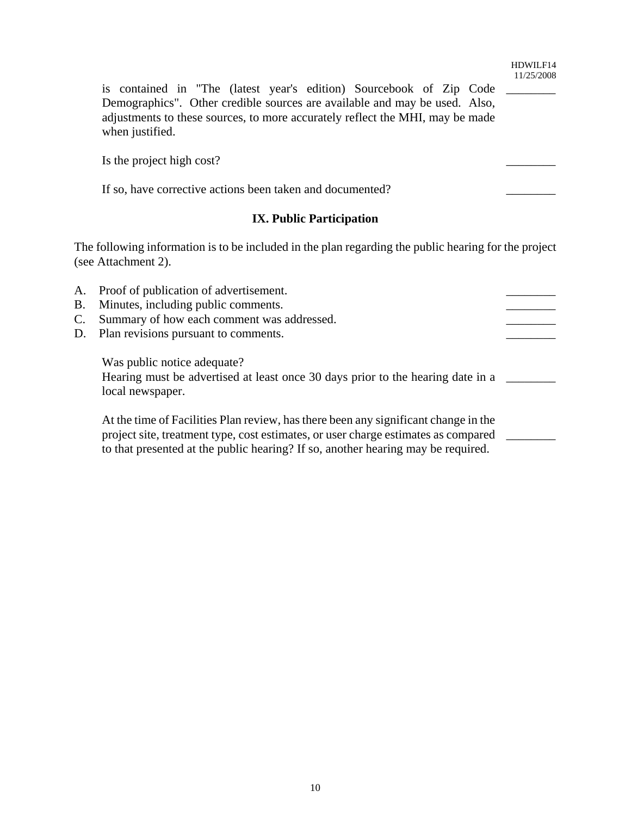is contained in "The (latest year's edition) Sourcebook of Zip Code \_\_\_\_\_\_\_\_ Demographics". Other credible sources are available and may be used. Also, adjustments to these sources, to more accurately reflect the MHI, may be made when justified.

Is the project high cost?

If so, have corrective actions been taken and documented?

## **IX. Public Participation**

The following information is to be included in the plan regarding the public hearing for the project (see Attachment 2).

A. Proof of publication of advertisement. B. Minutes, including public comments. C. Summary of how each comment was addressed. D. Plan revisions pursuant to comments. Was public notice adequate? Hearing must be advertised at least once 30 days prior to the hearing date in a \_\_\_\_\_\_\_ local newspaper. At the time of Facilities Plan review, has there been any significant change in the project site, treatment type, cost estimates, or user charge estimates as compared \_\_\_\_\_\_\_\_ to that presented at the public hearing? If so, another hearing may be required.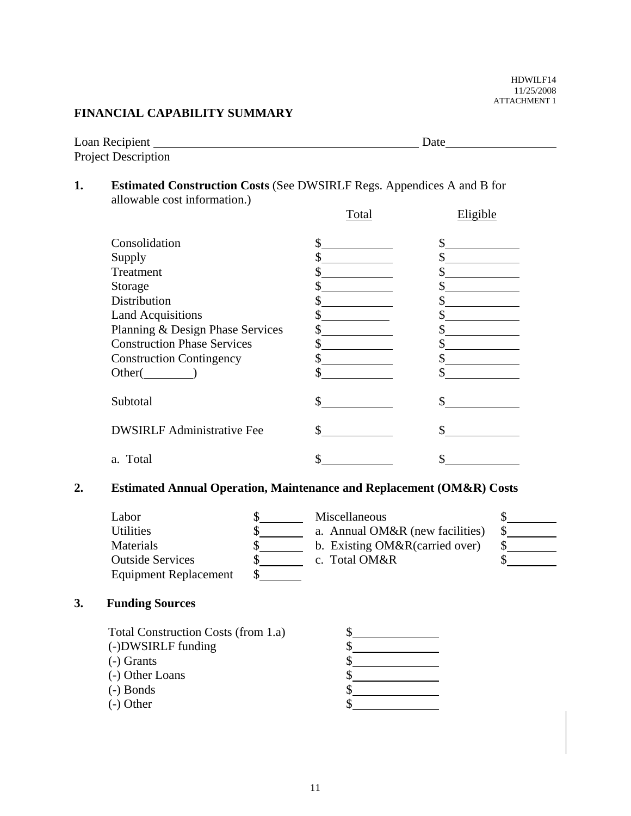HDWILF14 11/25/2008 ATTACHMENT 1

### **FINANCIAL CAPABILITY SUMMARY**

| Loan Recipient             | Date |
|----------------------------|------|
| <b>Project Description</b> |      |

## **1. Estimated Construction Costs** (See DWSIRLF Regs. Appendices A and B for allowable cost information.)

|                                    | Total | Eligible |
|------------------------------------|-------|----------|
| Consolidation                      | \$    |          |
| Supply                             |       |          |
| Treatment                          |       |          |
| Storage                            |       |          |
| <b>Distribution</b>                |       |          |
| <b>Land Acquisitions</b>           |       |          |
| Planning & Design Phase Services   |       |          |
| <b>Construction Phase Services</b> |       |          |
| <b>Construction Contingency</b>    |       |          |
| Other(                             |       |          |
| Subtotal                           | \$    |          |
| <b>DWSIRLF Administrative Fee</b>  | \$    |          |
| a. Total                           |       |          |

## **2. Estimated Annual Operation, Maintenance and Replacement (OM&R) Costs**

| Labor                        | Miscellaneous                   |  |
|------------------------------|---------------------------------|--|
| <b>Utilities</b>             | a. Annual OM&R (new facilities) |  |
| <b>Materials</b>             | b. Existing OM&R(carried over)  |  |
| <b>Outside Services</b>      | c. Total OM&R                   |  |
| <b>Equipment Replacement</b> |                                 |  |

## **3. Funding Sources**

| Total Construction Costs (from 1.a) |  |
|-------------------------------------|--|
| (-)DWSIRLF funding                  |  |
| $(-)$ Grants                        |  |
| (-) Other Loans                     |  |
| $(-)$ Bonds                         |  |
| $(-)$ Other                         |  |
|                                     |  |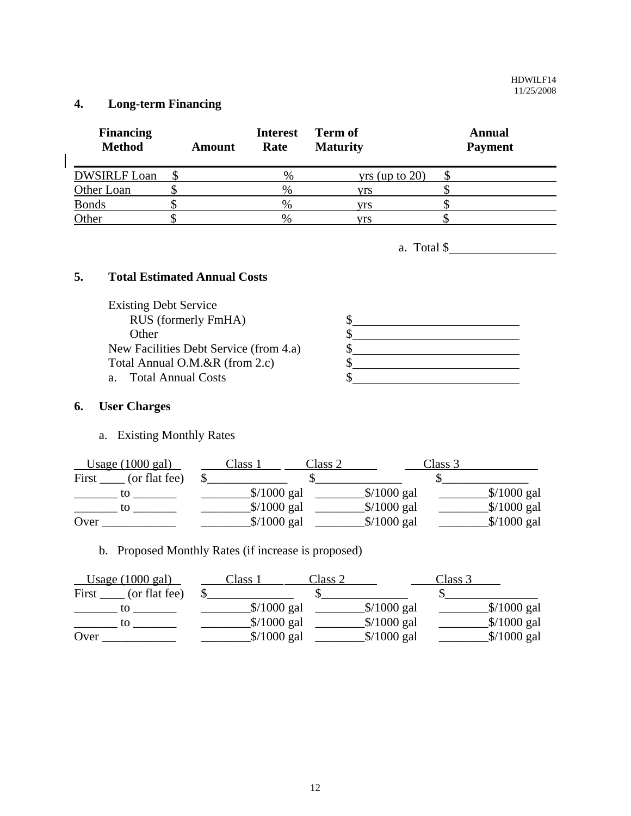## **4. Long-term Financing**

 $\begin{array}{c} \hline \end{array}$ 

| <b>Financing</b><br><b>Method</b> | <b>Amount</b> | <b>Interest</b><br>Rate | Term of<br><b>Maturity</b> | Annual<br><b>Payment</b> |
|-----------------------------------|---------------|-------------------------|----------------------------|--------------------------|
| <b>DWSIRLF Loan</b>               |               | %                       | $yrs$ (up to 20)           |                          |
| Other Loan                        |               | $\%$                    | vrs                        |                          |
| <b>Bonds</b>                      |               | %                       | vrs                        |                          |
| Other                             |               | $\%$                    | vrs                        |                          |

a. Total \$

## **5. Total Estimated Annual Costs**

| <b>Existing Debt Service</b>           |  |
|----------------------------------------|--|
| RUS (formerly FmHA)                    |  |
| Other                                  |  |
| New Facilities Debt Service (from 4.a) |  |
| Total Annual O.M.&R (from 2.c)         |  |
| a. Total Annual Costs                  |  |
|                                        |  |

## **6. User Charges**

a. Existing Monthly Rates

| Usage $(1000 \text{ gal})$ | Class 1      | Class 2 |              | Class 3 |              |
|----------------------------|--------------|---------|--------------|---------|--------------|
| First<br>(or flat fee)     |              |         |              |         |              |
| tО                         | $$/1000$ gal |         | $$/1000$ gal |         | $$/1000$ gal |
| tΩ                         | $$/1000$ gal |         | $$/1000$ gal |         | $$/1000$ gal |
| Over                       | $$/1000$ gal |         | $$/1000$ gal |         | $$/1000$ gal |

b. Proposed Monthly Rates (if increase is proposed)

| Usage $(1000 \text{ gal})$ | Class 1 | Class 2                              |              | Class 3 |              |
|----------------------------|---------|--------------------------------------|--------------|---------|--------------|
| First<br>(or flat fee)     |         |                                      |              |         |              |
| tΟ                         |         | $\frac{\sqrt{2}}{2}$ \times 1000 gal | $$/1000$ gal |         | $$/1000$ gal |
| tο                         |         | $$/1000$ gal                         | $$/1000$ gal |         | $$/1000$ gal |
| Over                       |         | $$/1000$ gal                         | $$/1000$ gal |         | $$/1000$ gal |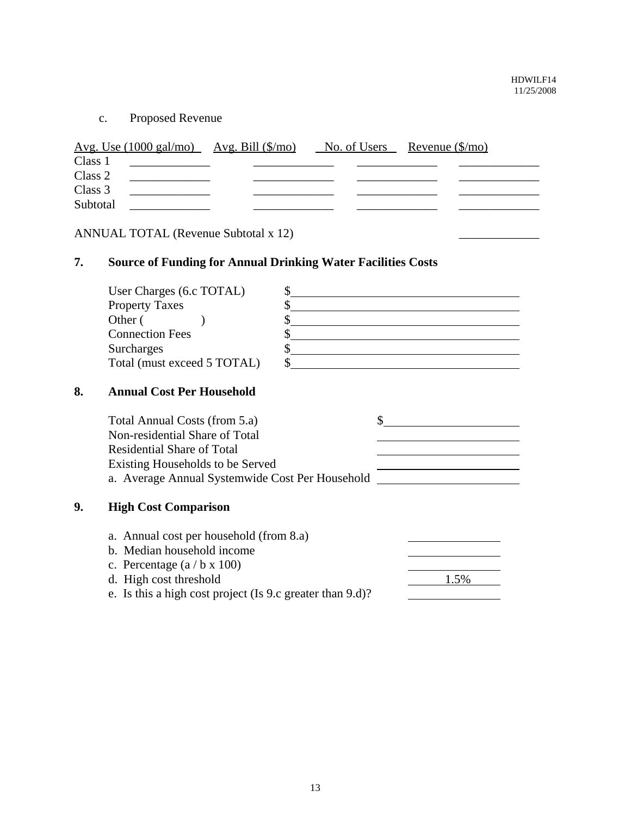c. Proposed Revenue

|          | <u>Avg. Use (1000 gal/mo) Avg. Bill <math>(\frac{\pi}{6})</math> No. of Users Revenue <math>(\frac{\pi}{6})</math> Revenue (<math>\frac{\pi}{6}</math>)</u> |  |  |
|----------|-------------------------------------------------------------------------------------------------------------------------------------------------------------|--|--|
| Class 1  |                                                                                                                                                             |  |  |
| Class 2  |                                                                                                                                                             |  |  |
| Class 3  |                                                                                                                                                             |  |  |
| Subtotal |                                                                                                                                                             |  |  |
|          |                                                                                                                                                             |  |  |

ANNUAL TOTAL (Revenue Subtotal x 12)

## **7. Source of Funding for Annual Drinking Water Facilities Costs**

| User Charges (6.c TOTAL)    |  |
|-----------------------------|--|
| <b>Property Taxes</b>       |  |
| Other (                     |  |
| <b>Connection Fees</b>      |  |
| Surcharges                  |  |
| Total (must exceed 5 TOTAL) |  |

## **8. Annual Cost Per Household**

|    | Total Annual Costs (from 5.a)                   |  |
|----|-------------------------------------------------|--|
|    | Non-residential Share of Total                  |  |
|    | Residential Share of Total                      |  |
|    | Existing Households to be Served                |  |
|    | a. Average Annual Systemwide Cost Per Household |  |
| 9. | <b>High Cost Comparison</b>                     |  |
|    | a. Annual cost per household (from 8.a)         |  |
|    | b. Median household income                      |  |

- c. Percentage (a / b x 100) d. High cost threshold 1.5%
- e. Is this a high cost project (Is 9.c greater than 9.d)?